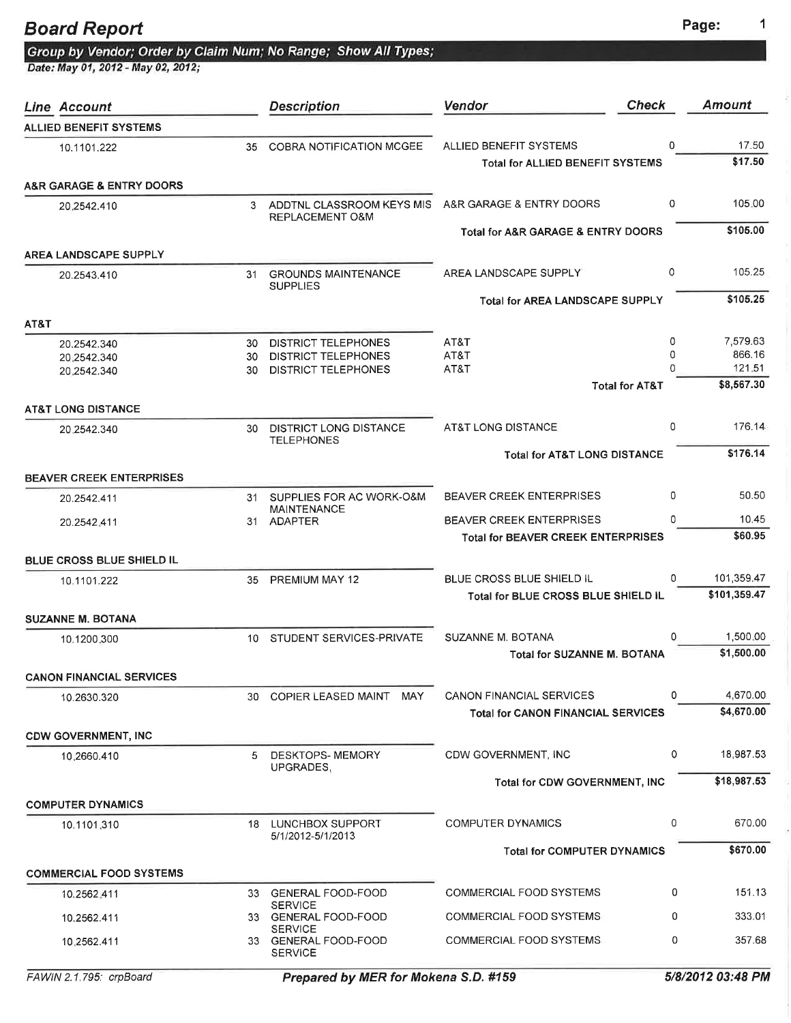| <b>Board Report</b>                                            | Page: |
|----------------------------------------------------------------|-------|
| Group by Vendor; Order by Claim Num; No Range; Show All Types; |       |
| Date: May 01, 2012 - May 02, 2012;                             |       |

| <b>Line Account</b>             |                 | <b>Description</b>                                       | Vendor                                                                       | <b>Check</b>  | <b>Amount</b>          |
|---------------------------------|-----------------|----------------------------------------------------------|------------------------------------------------------------------------------|---------------|------------------------|
| <b>ALLIED BENEFIT SYSTEMS</b>   |                 |                                                          |                                                                              |               |                        |
| 10.1101.222                     | 35              | COBRA NOTIFICATION MCGEE                                 | ALLIED BENEFIT SYSTEMS                                                       | 0             | 17.50                  |
|                                 |                 |                                                          | Total for ALLIED BENEFIT SYSTEMS                                             |               | \$17.50                |
| A&R GARAGE & ENTRY DOORS        |                 |                                                          |                                                                              |               |                        |
| 20.2542.410                     |                 | 3 ADDTNL CLASSROOM KEYS MIS<br>REPLACEMENT O&M           | A&R GARAGE & ENTRY DOORS                                                     | 0             | 105.00                 |
|                                 |                 |                                                          | Total for A&R GARAGE & ENTRY DOORS                                           |               | \$105.00               |
| <b>AREA LANDSCAPE SUPPLY</b>    |                 |                                                          |                                                                              |               |                        |
| 20.2543.410                     | 31              | <b>GROUNDS MAINTENANCE</b><br><b>SUPPLIES</b>            | AREA LANDSCAPE SUPPLY                                                        | 0             | 105.25                 |
|                                 |                 |                                                          | <b>Total for AREA LANDSCAPE SUPPLY</b>                                       |               | \$105.25               |
| AT&T                            |                 |                                                          |                                                                              |               |                        |
| 20.2542.340                     | 30              | <b>DISTRICT TELEPHONES</b>                               | AT&T                                                                         | 0             | 7,579.63<br>866.16     |
| 20.2542.340<br>20.2542.340      | 30<br>30        | <b>DISTRICT TELEPHONES</b><br><b>DISTRICT TELEPHONES</b> | AT&T<br>AT&T                                                                 | 0<br>$\Omega$ | 121.51                 |
|                                 |                 |                                                          | <b>Total for AT&amp;T</b>                                                    |               | \$8,567.30             |
| <b>AT&amp;T LONG DISTANCE</b>   |                 |                                                          |                                                                              |               |                        |
| 20.2542.340                     | 30              | <b>DISTRICT LONG DISTANCE</b><br><b>TELEPHONES</b>       | AT&T LONG DISTANCE                                                           | 0             | 176.14                 |
|                                 |                 |                                                          | <b>Total for AT&amp;T LONG DISTANCE</b>                                      |               | \$176.14               |
| <b>BEAVER CREEK ENTERPRISES</b> |                 |                                                          |                                                                              |               |                        |
| 20.2542.411                     | 31              | SUPPLIES FOR AC WORK-O&M<br><b>MAINTENANCE</b>           | <b>BEAVER CREEK ENTERPRISES</b>                                              | 0             | 50.50                  |
| 20.2542.411                     |                 | 31 ADAPTER                                               | <b>BEAVER CREEK ENTERPRISES</b>                                              | 0             | 10.45                  |
|                                 |                 |                                                          | <b>Total for BEAVER CREEK ENTERPRISES</b>                                    |               | \$60.95                |
| BLUE CROSS BLUE SHIELD IL       |                 |                                                          |                                                                              |               |                        |
| 10.1101.222                     | 35.             | PREMIUM MAY 12                                           | BLUE CROSS BLUE SHIELD IL                                                    | 0             | 101,359.47             |
|                                 |                 |                                                          | Total for BLUE CROSS BLUE SHIELD IL                                          |               | \$101,359.47           |
| <b>SUZANNE M. BOTANA</b>        |                 |                                                          |                                                                              |               |                        |
| 10.1200.300                     | 10 <sup>1</sup> | STUDENT SERVICES-PRIVATE                                 | SUZANNE M. BOTANA<br><b>Total for SUZANNE M. BOTANA</b>                      | 0             | 1,500.00<br>\$1,500.00 |
|                                 |                 |                                                          |                                                                              |               |                        |
| <b>CANON FINANCIAL SERVICES</b> |                 |                                                          |                                                                              | 0             | 4,670.00               |
| 10.2630.320                     | 30              | <b>COPIER LEASED MAINT</b><br>MAY                        | <b>CANON FINANCIAL SERVICES</b><br><b>Total for CANON FINANCIAL SERVICES</b> |               | \$4,670.00             |
| <b>CDW GOVERNMENT, INC</b>      |                 |                                                          |                                                                              |               |                        |
| 10.2660.410                     | 5.              | DESKTOPS- MEMORY                                         | CDW GOVERNMENT, INC                                                          | 0             | 18,987.53              |
|                                 |                 | UPGRADES,                                                |                                                                              |               |                        |
|                                 |                 |                                                          | Total for CDW GOVERNMENT, INC                                                |               | \$18,987.53            |
| <b>COMPUTER DYNAMICS</b>        |                 |                                                          |                                                                              |               |                        |
| 10.1101.310                     |                 | 18 LUNCHBOX SUPPORT<br>5/1/2012-5/1/2013                 | <b>COMPUTER DYNAMICS</b>                                                     | 0             | 670.00                 |
|                                 |                 |                                                          | <b>Total for COMPUTER DYNAMICS</b>                                           |               | \$670.00               |
| <b>COMMERCIAL FOOD SYSTEMS</b>  |                 |                                                          |                                                                              |               |                        |
| 10.2562.411                     |                 | 33 GENERAL FOOD-FOOD                                     | <b>COMMERCIAL FOOD SYSTEMS</b>                                               | 0             | 151.13                 |
| 10.2562.411                     |                 | <b>SERVICE</b><br>33 GENERAL FOOD-FOOD                   | COMMERCIAL FOOD SYSTEMS                                                      | 0             | 333.01                 |
| 10.2562.411                     |                 | <b>SERVICE</b><br>33 GENERAL FOOD-FOOD                   | COMMERCIAL FOOD SYSTEMS                                                      | 0             | 357.68                 |
|                                 |                 | <b>SERVICE</b>                                           |                                                                              |               |                        |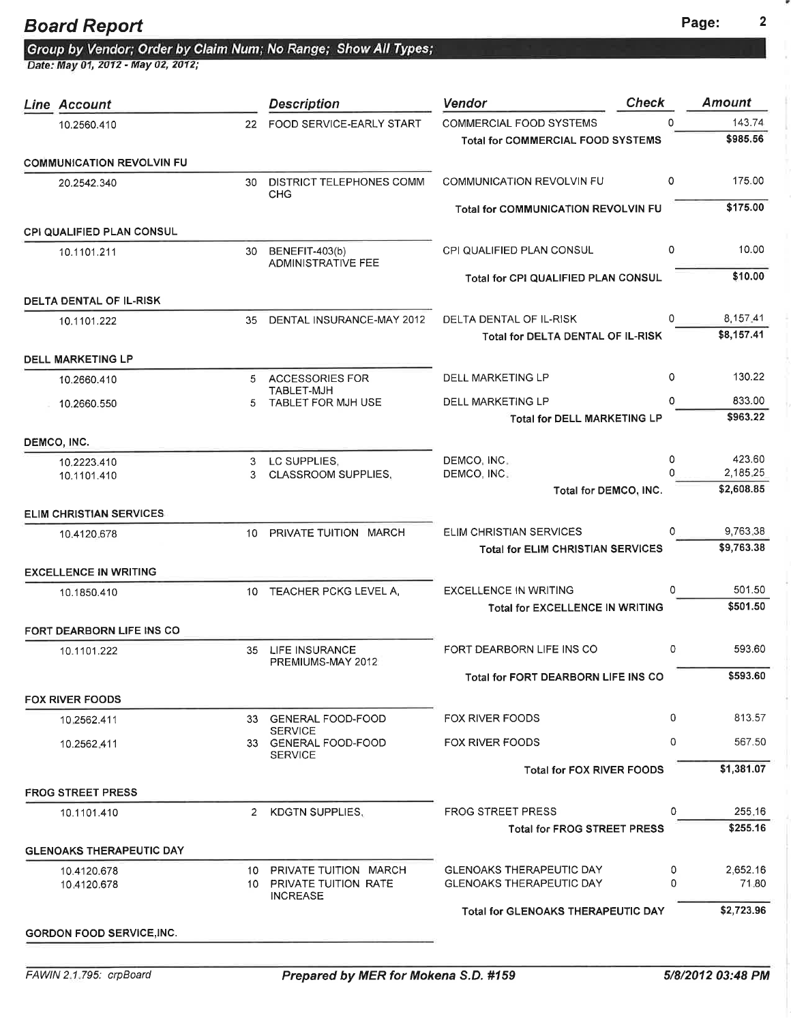Group by Vendor; Order by Claim Num; No Range; Show All Types;<br>Date: May 01, 2012 - May 02, 2012;

| Line Account                     |         | <b>Description</b>                                       | Vendor                                     | <b>Check</b> | <b>Amount</b> |
|----------------------------------|---------|----------------------------------------------------------|--------------------------------------------|--------------|---------------|
| 10.2560.410                      | 22      | FOOD SERVICE-EARLY START                                 | <b>COMMERCIAL FOOD SYSTEMS</b>             | $\Omega$     | 143.74        |
|                                  |         |                                                          | <b>Total for COMMERCIAL FOOD SYSTEMS</b>   |              | \$985.56      |
| <b>COMMUNICATION REVOLVIN FU</b> |         |                                                          |                                            |              |               |
| 20.2542.340                      | 30      | <b>DISTRICT TELEPHONES COMM</b><br><b>CHG</b>            | <b>COMMUNICATION REVOLVIN FU</b>           | 0            | 175.00        |
|                                  |         |                                                          | <b>Total for COMMUNICATION REVOLVIN FU</b> |              | \$175.00      |
| <b>CPI QUALIFIED PLAN CONSUL</b> |         |                                                          |                                            |              |               |
| 10.1101.211                      | 30      | BENEFIT-403(b)<br><b>ADMINISTRATIVE FEE</b>              | CPI QUALIFIED PLAN CONSUL                  | 0            | 10.00         |
|                                  |         |                                                          | Total for CPI QUALIFIED PLAN CONSUL        |              | \$10.00       |
| <b>DELTA DENTAL OF IL-RISK</b>   |         |                                                          |                                            |              |               |
| 10.1101.222                      | 35      | DENTAL INSURANCE-MAY 2012                                | DELTA DENTAL OF IL-RISK                    | 0            | 8,157.41      |
|                                  |         |                                                          | Total for DELTA DENTAL OF IL-RISK          |              | \$8,157.41    |
| <b>DELL MARKETING LP</b>         |         |                                                          |                                            |              |               |
| 10.2660.410                      |         | 5 ACCESSORIES FOR                                        | <b>DELL MARKETING LP</b>                   | 0            | 130.22        |
| 10.2660.550                      | 5.      | TABLET-MJH<br>TABLET FOR MJH USE                         | DELL MARKETING LP                          | 0            | 833.00        |
|                                  |         |                                                          | Total for DELL MARKETING LP                |              | \$963.22      |
| DEMCO, INC.                      |         |                                                          |                                            |              |               |
| 10.2223.410                      | 3       | LC SUPPLIES.                                             | DEMCO, INC.                                | 0            | 423.60        |
| 10.1101.410                      | 3       | <b>CLASSROOM SUPPLIES,</b>                               | DEMCO, INC.                                | $\Omega$     | 2,185.25      |
|                                  |         |                                                          | Total for DEMCO, INC.                      |              | \$2,608.85    |
| <b>ELIM CHRISTIAN SERVICES</b>   |         |                                                          |                                            |              |               |
| 10.4120.678                      |         | 10 PRIVATE TUITION MARCH                                 | ELIM CHRISTIAN SERVICES                    | 0            | 9,763.38      |
|                                  |         |                                                          | <b>Total for ELIM CHRISTIAN SERVICES</b>   |              | \$9,763.38    |
| <b>EXCELLENCE IN WRITING</b>     |         |                                                          |                                            |              |               |
| 10.1850.410                      | $10-10$ | TEACHER PCKG LEVEL A.                                    | <b>EXCELLENCE IN WRITING</b>               | 0            | 501.50        |
|                                  |         |                                                          | <b>Total for EXCELLENCE IN WRITING</b>     |              | \$501.50      |
| FORT DEARBORN LIFE INS CO        |         |                                                          |                                            |              |               |
| 10.1101.222                      | 35      | LIFE INSURANCE<br>PREMIUMS-MAY 2012                      | FORT DEARBORN LIFE INS CO                  | 0            | 593.60        |
|                                  |         |                                                          | Total for FORT DEARBORN LIFE INS CO        |              | \$593.60      |
| FOX RIVER FOODS                  |         |                                                          |                                            |              |               |
| 10.2562.411                      |         | 33 GENERAL FOOD-FOOD                                     | <b>FOX RIVER FOODS</b>                     | 0            | 813.57        |
| 10.2562,411                      |         | <b>SERVICE</b><br>33 GENERAL FOOD-FOOD<br><b>SERVICE</b> | <b>FOX RIVER FOODS</b>                     | 0            | 567.50        |
|                                  |         |                                                          | <b>Total for FOX RIVER FOODS</b>           |              | \$1,381.07    |
| <b>FROG STREET PRESS</b>         |         |                                                          |                                            |              |               |
| 10.1101.410                      | $^{2}$  | KDGTN SUPPLIES.                                          | <b>FROG STREET PRESS</b>                   | 0            | 255.16        |
|                                  |         |                                                          | Total for FROG STREET PRESS                |              | \$255.16      |
| <b>GLENOAKS THERAPEUTIC DAY</b>  |         |                                                          |                                            |              |               |
| 10.4120.678                      | 10.     | PRIVATE TUITION MARCH                                    | <b>GLENOAKS THERAPEUTIC DAY</b>            | 0            | 2,652.16      |
| 10.4120.678                      | 10.     | <b>PRIVATE TUITION RATE</b><br><b>INCREASE</b>           | <b>GLENOAKS THERAPEUTIC DAY</b>            | 0            | 71.80         |
|                                  |         |                                                          | <b>Total for GLENOAKS THERAPEUTIC DAY</b>  |              | \$2,723.96    |
| <b>GORDON FOOD SERVICE, INC.</b> |         |                                                          |                                            |              |               |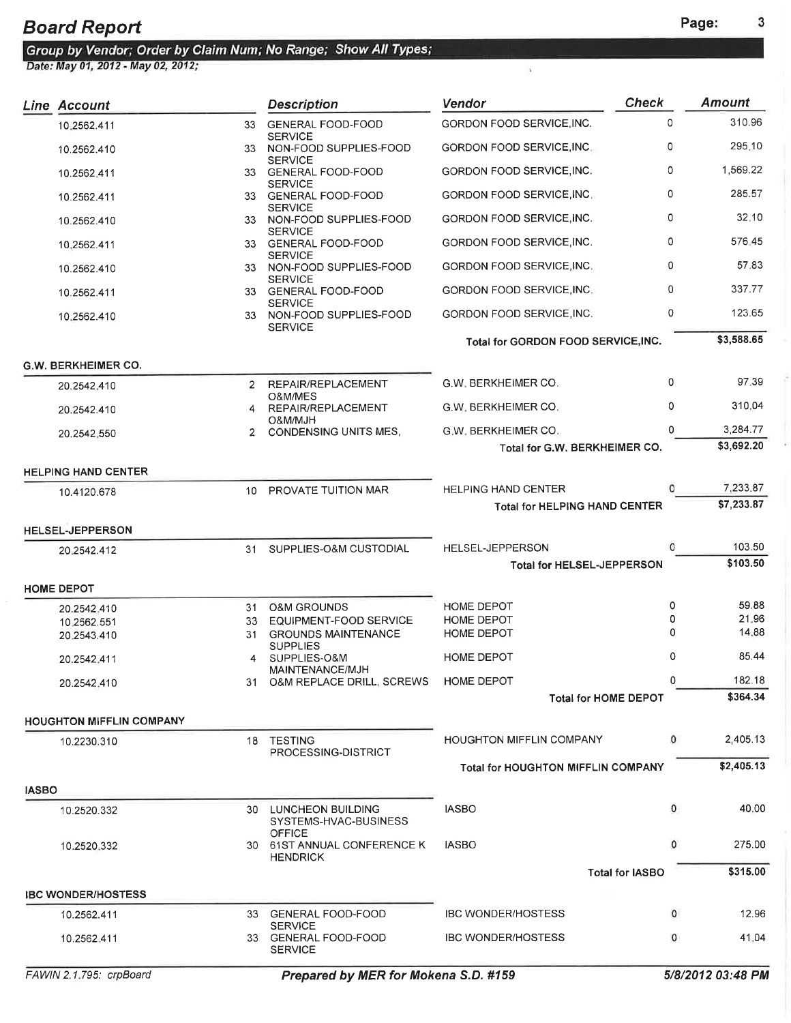|              | Line Account                    |                | <b>Description</b>                            | <b>Vendor</b>                                                      | <b>Check</b>           | <b>Amount</b>          |
|--------------|---------------------------------|----------------|-----------------------------------------------|--------------------------------------------------------------------|------------------------|------------------------|
|              | 10.2562.411                     | 33             | <b>GENERAL FOOD-FOOD</b>                      | GORDON FOOD SERVICE, INC.                                          | 0                      | 310.96                 |
|              | 10.2562.410                     |                | <b>SERVICE</b><br>33 NON-FOOD SUPPLIES-FOOD   | GORDON FOOD SERVICE, INC.                                          | 0                      | 295.10                 |
|              | 10.2562.411                     |                | <b>SERVICE</b><br>33 GENERAL FOOD-FOOD        | GORDON FOOD SERVICE, INC.                                          | 0                      | 1,569.22               |
|              | 10.2562.411                     |                | <b>SERVICE</b><br>33 GENERAL FOOD-FOOD        | GORDON FOOD SERVICE, INC.                                          | 0                      | 285.57                 |
|              | 10.2562.410                     |                | <b>SERVICE</b><br>33 NON-FOOD SUPPLIES-FOOD   | GORDON FOOD SERVICE, INC.                                          | 0                      | 32.10                  |
|              | 10.2562.411                     |                | <b>SERVICE</b><br>33 GENERAL FOOD-FOOD        | GORDON FOOD SERVICE, INC.                                          | 0                      | 576.45                 |
|              | 10.2562.410                     | 33             | <b>SERVICE</b><br>NON-FOOD SUPPLIES-FOOD      | GORDON FOOD SERVICE, INC.                                          | 0                      | 57.83                  |
|              | 10.2562.411                     |                | <b>SERVICE</b><br>33 GENERAL FOOD-FOOD        | GORDON FOOD SERVICE, INC.                                          | 0                      | 337.77                 |
|              | 10.2562.410                     | 33             | <b>SERVICE</b><br>NON-FOOD SUPPLIES-FOOD      | GORDON FOOD SERVICE, INC.                                          | 0                      | 123.65                 |
|              |                                 |                | <b>SERVICE</b>                                | Total for GORDON FOOD SERVICE, INC.                                |                        | \$3,588.65             |
|              | <b>G.W. BERKHEIMER CO.</b>      |                |                                               |                                                                    |                        |                        |
|              | 20.2542.410                     | $\mathbf{2}$   | REPAIR/REPLACEMENT                            | <b>G.W. BERKHEIMER CO.</b>                                         | 0                      | 97.39                  |
|              | 20.2542.410                     | 4              | O&M/MES<br>REPAIR/REPLACEMENT                 | <b>G.W. BERKHEIMER CO.</b>                                         | 0                      | 310.04                 |
|              | 20.2542.550                     | $\overline{2}$ | HLM/MJAO<br>CONDENSING UNITS MES.             | G.W. BERKHEIMER CO.                                                | 0                      | 3,284.77               |
|              |                                 |                |                                               | Total for G.W. BERKHEIMER CO.                                      |                        | \$3,692.20             |
|              | <b>HELPING HAND CENTER</b>      |                |                                               |                                                                    |                        |                        |
|              | 10.4120.678                     |                | 10 PROVATE TUITION MAR                        | <b>HELPING HAND CENTER</b><br><b>Total for HELPING HAND CENTER</b> | 0                      | 7,233.87<br>\$7,233.87 |
|              | <b>HELSEL-JEPPERSON</b>         |                |                                               |                                                                    |                        |                        |
|              | 20.2542.412                     | 31             | SUPPLIES-O&M CUSTODIAL                        | HELSEL-JEPPERSON                                                   | $\Omega$               | 103.50                 |
|              |                                 |                |                                               | <b>Total for HELSEL-JEPPERSON</b>                                  |                        | \$103.50               |
|              | <b>HOME DEPOT</b>               |                |                                               |                                                                    |                        |                        |
|              | 20.2542.410                     | 31             | <b>O&amp;M GROUNDS</b>                        | HOME DEPOT                                                         | 0                      | 59.88                  |
|              | 10.2562.551                     | 33             | EQUIPMENT-FOOD SERVICE                        | HOME DEPOT<br><b>HOME DEPOT</b>                                    | 0<br>0                 | 21.96<br>14.88         |
|              | 20.2543.410                     | 31             | <b>GROUNDS MAINTENANCE</b><br><b>SUPPLIES</b> |                                                                    |                        |                        |
|              | 20.2542.411                     |                | SUPPLIES-O&M<br>MAINTENANCE/MJH               | HOME DEPOT                                                         | 0                      | 85.44                  |
|              | 20.2542.410                     | 31.            | O&M REPLACE DRILL, SCREWS                     | <b>HOME DEPOT</b>                                                  | 0                      | 182.18                 |
|              |                                 |                |                                               | <b>Total for HOME DEPOT</b>                                        |                        | \$364.34               |
|              | <b>HOUGHTON MIFFLIN COMPANY</b> |                |                                               |                                                                    |                        |                        |
|              | 10.2230.310                     |                | 18 TESTING<br>PROCESSING-DISTRICT             | <b>HOUGHTON MIFFLIN COMPANY</b>                                    | 0                      | 2.405.13               |
|              |                                 |                |                                               | <b>Total for HOUGHTON MIFFLIN COMPANY</b>                          |                        | \$2,405.13             |
| <b>IASBO</b> |                                 |                |                                               |                                                                    |                        |                        |
|              | 10.2520.332                     | 30             | LUNCHEON BUILDING<br>SYSTEMS-HVAC-BUSINESS    | <b>IASBO</b>                                                       | 0                      | 40.00                  |
|              | 10.2520.332                     |                | <b>OFFICE</b><br>30 61ST ANNUAL CONFERENCE K  | <b>IASBO</b>                                                       | 0                      | 275.00                 |
|              |                                 |                | <b>HENDRICK</b>                               |                                                                    | <b>Total for IASBO</b> | \$315.00               |
|              | <b>IBC WONDER/HOSTESS</b>       |                |                                               |                                                                    |                        |                        |
|              | 10.2562.411                     |                | 33 GENERAL FOOD-FOOD<br><b>SERVICE</b>        | <b>IBC WONDER/HOSTESS</b>                                          | $\mathbf{0}$           | 12.96                  |
|              | 10.2562.411                     |                | 33 GENERAL FOOD-FOOD<br><b>SERVICE</b>        | <b>IBC WONDER/HOSTESS</b>                                          | 0                      | 41.04                  |
|              |                                 |                |                                               |                                                                    |                        |                        |

ÿ.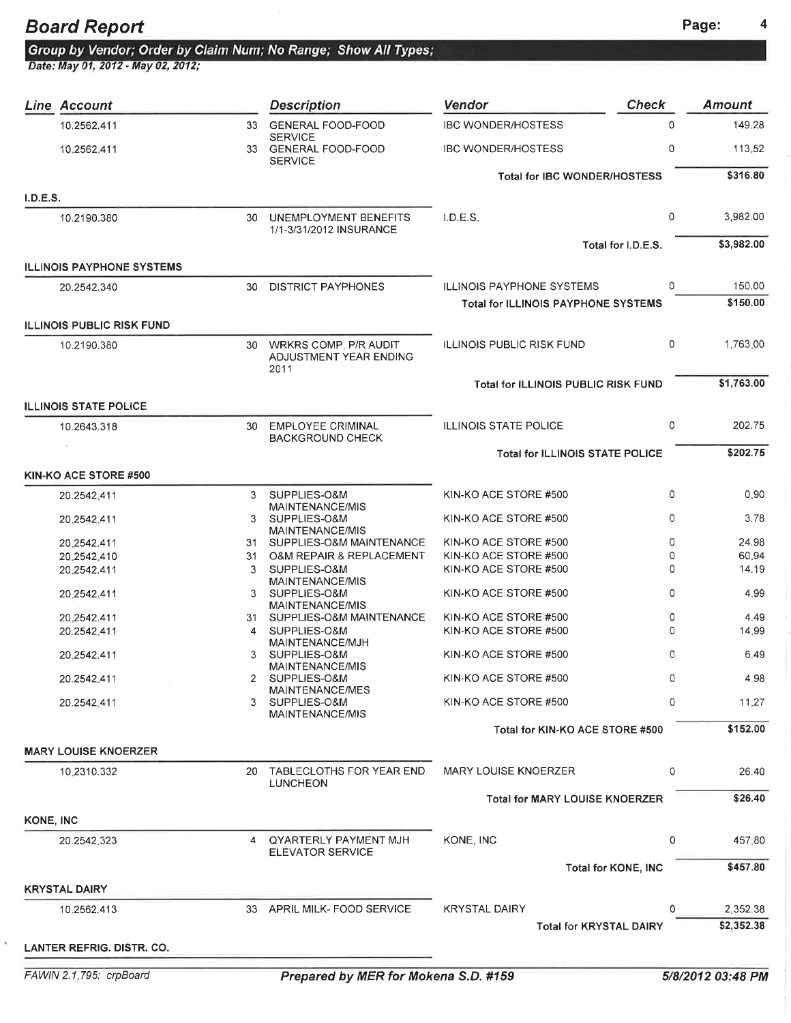Group by Vendor; Order by Claim Num; No Range; Show All Types;<br>Date: May 01, 2012 - May 02, 2012;

|           | Line Account                     |    | <b>Description</b>                                         | Vendor                                     | <b>Check</b>               | <b>Amount</b> |
|-----------|----------------------------------|----|------------------------------------------------------------|--------------------------------------------|----------------------------|---------------|
|           | 10.2562.411                      |    | 33 GENERAL FOOD-FOOD                                       | <b>IBC WONDER/HOSTESS</b>                  | 0                          | 149.28        |
|           | 10.2562.411                      |    | <b>SERVICE</b><br>33 GENERAL FOOD-FOOD<br><b>SERVICE</b>   | <b>IBC WONDER/HOSTESS</b>                  | 0                          | 113,52        |
|           |                                  |    |                                                            | <b>Total for IBC WONDER/HOSTESS</b>        |                            | \$316.80      |
| I.D.E.S.  |                                  |    |                                                            |                                            |                            |               |
|           | 10.2190.380                      |    | 30 UNEMPLOYMENT BENEFITS<br>1/1-3/31/2012 INSURANCE        | I.D.E.S.                                   | 0                          | 3,982.00      |
|           |                                  |    |                                                            |                                            | Total for I.D.E.S.         | \$3,982.00    |
|           | <b>ILLINOIS PAYPHONE SYSTEMS</b> |    |                                                            |                                            |                            |               |
|           | 20.2542.340                      | 30 | <b>DISTRICT PAYPHONES</b>                                  | <b>ILLINOIS PAYPHONE SYSTEMS</b>           | 0                          | 150.00        |
|           |                                  |    |                                                            | <b>Total for ILLINOIS PAYPHONE SYSTEMS</b> |                            | \$150.00      |
|           | <b>ILLINOIS PUBLIC RISK FUND</b> |    |                                                            |                                            |                            |               |
|           | 10.2190.380                      |    | 30 WRKRS COMP. P/R AUDIT<br>ADJUSTMENT YEAR ENDING<br>2011 | <b>ILLINOIS PUBLIC RISK FUND</b>           | 0                          | 1,763.00      |
|           |                                  |    |                                                            | Total for ILLINOIS PUBLIC RISK FUND        |                            | \$1,763.00    |
|           | <b>ILLINOIS STATE POLICE</b>     |    |                                                            |                                            |                            |               |
|           | 10.2643.318                      | 30 | <b>EMPLOYEE CRIMINAL</b><br><b>BACKGROUND CHECK</b>        | <b>ILLINOIS STATE POLICE</b>               | 0                          | 202.75        |
|           |                                  |    |                                                            | <b>Total for ILLINOIS STATE POLICE</b>     |                            | \$202.75      |
|           | KIN-KO ACE STORE #500            |    |                                                            |                                            |                            |               |
|           | 20.2542.411                      | 3  | SUPPLIES-O&M<br>MAINTENANCE/MIS                            | KIN-KO ACE STORE #500                      | 0                          | 0.90          |
|           | 20.2542.411                      |    | 3 SUPPLIES-O&M                                             | KIN-KO ACE STORE #500                      | $\circ$                    | 3.78          |
|           | 20.2542.411                      |    | MAINTENANCE/MIS<br>31 SUPPLIES-O&M MAINTENANCE             | KIN-KO ACE STORE #500                      | 0                          | 24.98         |
|           | 20.2542.410                      | 31 | O&M REPAIR & REPLACEMENT                                   | KIN-KO ACE STORE #500                      | 0                          | 60.94         |
|           | 20.2542.411                      | 3  | SUPPLIES-O&M                                               | KIN-KO ACE STORE #500                      | 0                          | 14.19         |
|           | 20,2542.411                      | 3  | MAINTENANCE/MIS<br>SUPPLIES-O&M                            | KIN-KO ACE STORE #500                      | 0                          | 4.99          |
|           | 20.2542.411                      |    | MAINTENANCE/MIS<br>31 SUPPLIES-O&M MAINTENANCE             | KIN-KO ACE STORE #500                      | 0                          | 4.49          |
|           | 20.2542.411                      |    | SUPPLIES-O&M                                               | KIN-KO ACE STORE #500                      | 0                          | 14.99         |
|           |                                  |    | MAINTENANCE/MJH                                            |                                            |                            |               |
|           | 20.2542.411                      | 3  | SUPPLIES-O&M<br>MAINTENANCE/MIS                            | KIN-KO ACE STORE #500                      | 0                          | 6.49          |
|           | 20.2542.411                      | 2  | SUPPLIES-O&M<br>MAINTENANCE/MES                            | KIN-KO ACE STORE #500                      | 0                          | 4.98          |
|           | 20.2542.411                      | 3  | SUPPLIES-O&M<br>MAINTENANCE/MIS                            | KIN-KO ACE STORE #500                      | 0                          | 11.27         |
|           |                                  |    |                                                            | Total for KIN-KO ACE STORE #500            |                            | \$152.00      |
|           | <b>MARY LOUISE KNOERZER</b>      |    |                                                            |                                            |                            |               |
|           | 10,2310.332                      |    | 20 TABLECLOTHS FOR YEAR END<br>LUNCHEON                    | <b>MARY LOUISE KNOERZER</b>                | 0                          | 26.40         |
|           |                                  |    |                                                            | <b>Total for MARY LOUISE KNOERZER</b>      |                            | \$26.40       |
| KONE, INC |                                  |    |                                                            |                                            |                            |               |
|           | 20.2542.323                      |    | QYARTERLY PAYMENT MJH<br><b>ELEVATOR SERVICE</b>           | KONE, INC                                  | 0                          | 457.80        |
|           |                                  |    |                                                            |                                            | <b>Total for KONE, INC</b> | \$457.80      |
|           | <b>KRYSTAL DAIRY</b>             |    |                                                            |                                            |                            |               |
|           | 10.2562.413                      |    | 33 APRIL MILK- FOOD SERVICE                                | <b>KRYSTAL DAIRY</b>                       | 0                          | 2,352.38      |
|           |                                  |    |                                                            | <b>Total for KRYSTAL DAIRY</b>             |                            | \$2,352.38    |
|           | LANTER REFRIG. DISTR. CO.        |    |                                                            |                                            |                            |               |
|           |                                  |    |                                                            |                                            |                            |               |

 $\hat{\mathbf{x}}$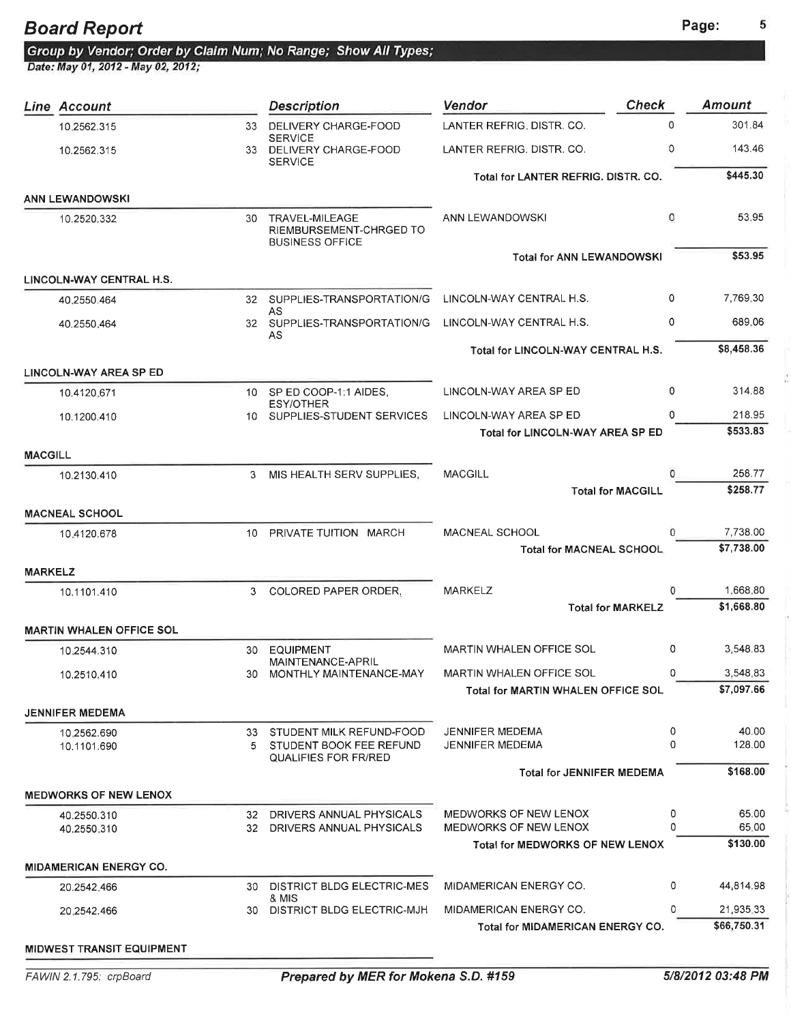쐶

### Board Report **Page:** Page:

Date: May 01, 2012 - May 02, 2012;

|                | <b>Line Account</b>              |     | <b>Description</b>                                                         | Vendor                                    | <b>Check</b>             | <b>Amount</b> |
|----------------|----------------------------------|-----|----------------------------------------------------------------------------|-------------------------------------------|--------------------------|---------------|
|                | 10.2562.315                      | 33  | DELIVERY CHARGE-FOOD                                                       | LANTER REFRIG, DISTR. CO.                 | $\Omega$                 | 301.84        |
|                | 10.2562.315                      |     | <b>SERVICE</b><br>33 DELIVERY CHARGE-FOOD<br><b>SERVICE</b>                | LANTER REFRIG. DISTR. CO.                 | 0                        | 143.46        |
|                |                                  |     |                                                                            | Total for LANTER REFRIG. DISTR. CO.       |                          | \$445.30      |
|                | <b>ANN LEWANDOWSKI</b>           |     |                                                                            |                                           |                          |               |
|                | 10.2520.332                      | 30  | <b>TRAVEL-MILEAGE</b><br>RIEMBURSEMENT-CHRGED TO<br><b>BUSINESS OFFICE</b> | ANN LEWANDOWSKI                           | 0                        | 53.95         |
|                |                                  |     |                                                                            | <b>Total for ANN LEWANDOWSKI</b>          |                          | \$53.95       |
|                | LINCOLN-WAY CENTRAL H.S.         |     |                                                                            |                                           |                          |               |
|                | 40.2550.464                      |     | 32 SUPPLIES-TRANSPORTATION/G                                               | LINCOLN-WAY CENTRAL H.S.                  | 0                        | 7,769.30      |
|                | 40.2550.464                      |     | AS<br>32 SUPPLIES-TRANSPORTATION/G                                         | LINCOLN-WAY CENTRAL H.S.                  | 0                        | 689.06        |
|                |                                  |     | AS                                                                         |                                           |                          |               |
|                |                                  |     |                                                                            | Total for LINCOLN-WAY CENTRAL H.S.        |                          | \$8,458.36    |
|                | <b>LINCOLN-WAY AREA SP ED</b>    |     |                                                                            |                                           |                          |               |
|                | 10.4120.671                      |     | 10 SP ED COOP-1:1 AIDES.<br><b>ESY/OTHER</b>                               | LINCOLN-WAY AREA SP ED                    | 0                        | 314.88        |
|                | 10.1200.410                      |     | 10 SUPPLIES-STUDENT SERVICES                                               | LINCOLN-WAY AREA SP ED                    | 0                        | 218.95        |
|                |                                  |     |                                                                            | <b>Total for LINCOLN-WAY AREA SP ED</b>   |                          | \$533.83      |
| <b>MACGILL</b> |                                  |     |                                                                            |                                           |                          |               |
|                | 10.2130.410                      | 3   | MIS HEALTH SERV SUPPLIES,                                                  | <b>MACGILL</b>                            | 0                        | 258.77        |
|                |                                  |     |                                                                            |                                           | <b>Total for MACGILL</b> | \$258.77      |
|                | <b>MACNEAL SCHOOL</b>            |     |                                                                            |                                           |                          |               |
|                | 10.4120.678                      | 10. | PRIVATE TUITION MARCH                                                      | <b>MACNEAL SCHOOL</b>                     | 0                        | 7,738.00      |
|                |                                  |     |                                                                            | <b>Total for MACNEAL SCHOOL</b>           |                          | \$7,738.00    |
| <b>MARKELZ</b> |                                  |     |                                                                            |                                           |                          |               |
|                | 10.1101.410                      | 3   | <b>COLORED PAPER ORDER,</b>                                                | <b>MARKELZ</b>                            | O                        | 1,668.80      |
|                |                                  |     |                                                                            |                                           | <b>Total for MARKELZ</b> | \$1,668.80    |
|                | <b>MARTIN WHALEN OFFICE SOL</b>  |     |                                                                            |                                           |                          |               |
|                | 10.2544.310                      | 30  | <b>EQUIPMENT</b><br>MAINTENANCE-APRIL                                      | <b>MARTIN WHALEN OFFICE SOL</b>           | 0                        | 3,548.83      |
|                | 10.2510.410                      |     | 30 MONTHLY MAINTENANCE-MAY                                                 | MARTIN WHALEN OFFICE SOL                  | 0                        | 3,548.83      |
|                |                                  |     |                                                                            | <b>Total for MARTIN WHALEN OFFICE SOL</b> |                          | \$7,097.66    |
|                | <b>JENNIFER MEDEMA</b>           |     |                                                                            |                                           |                          |               |
|                | 10.2562.690                      |     | 33 STUDENT MILK REFUND-FOOD                                                | <b>JENNIFER MEDEMA</b>                    | 0                        | 40.00         |
|                | 10.1101.690                      |     | 5 STUDENT BOOK FEE REFUND<br><b>QUALIFIES FOR FR/RED</b>                   | JENNIFER MEDEMA                           | 0                        | 128,00        |
|                |                                  |     |                                                                            | <b>Total for JENNIFER MEDEMA</b>          |                          | \$168.00      |
|                | <b>MEDWORKS OF NEW LENOX</b>     |     |                                                                            |                                           |                          |               |
|                | 40.2550.310                      |     | 32 DRIVERS ANNUAL PHYSICALS                                                | MEDWORKS OF NEW LENOX                     | 0                        | 65.00         |
|                | 40.2550.310                      |     | 32 DRIVERS ANNUAL PHYSICALS                                                | <b>MEDWORKS OF NEW LENOX</b>              | $\Omega$                 | 65.00         |
|                |                                  |     |                                                                            | <b>Total for MEDWORKS OF NEW LENOX</b>    |                          | \$130.00      |
|                | <b>MIDAMERICAN ENERGY CO.</b>    |     |                                                                            |                                           |                          |               |
|                | 20.2542.466                      | 30. | DISTRICT BLDG ELECTRIC-MES                                                 | MIDAMERICAN ENERGY CO.                    | 0                        | 44,814.98     |
|                | 20.2542.466                      | 30  | & MIS<br>DISTRICT BLDG ELECTRIC-MJH                                        | MIDAMERICAN ENERGY CO.                    | 0                        | 21,935.33     |
|                |                                  |     |                                                                            | <b>Total for MIDAMERICAN ENERGY CO.</b>   |                          | \$66,750.31   |
|                | <b>MIDWEST TRANSIT EQUIPMENT</b> |     |                                                                            |                                           |                          |               |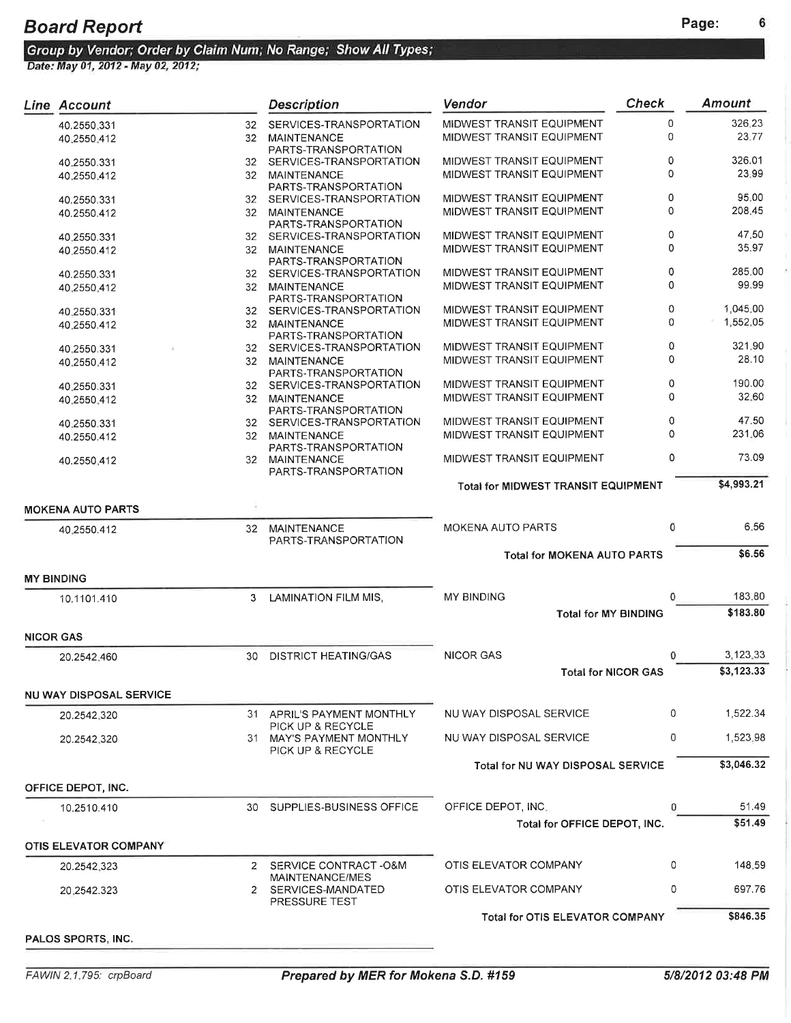6

|                  | <b>Line Account</b>            |                 | <b>Description</b>                                 | Vendor                                     | <b>Check</b> | <b>Amount</b>   |
|------------------|--------------------------------|-----------------|----------------------------------------------------|--------------------------------------------|--------------|-----------------|
|                  | 40.2550.331                    | 32              | SERVICES-TRANSPORTATION                            | MIDWEST TRANSIT EQUIPMENT                  | 0            | 326.23          |
|                  | 40.2550.412                    | 32              | MAINTENANCE                                        | MIDWEST TRANSIT EQUIPMENT                  | 0            | 23.77           |
|                  | 40.2550.331                    | 32              | PARTS-TRANSPORTATION<br>SERVICES-TRANSPORTATION    | MIDWEST TRANSIT EQUIPMENT                  | 0            | 326.01          |
|                  | 40.2550.412                    | 32              | <b>MAINTENANCE</b>                                 | MIDWEST TRANSIT EQUIPMENT                  | 0            | 23.99           |
|                  |                                |                 | PARTS-TRANSPORTATION                               |                                            |              |                 |
|                  | 40.2550.331                    | 32              | SERVICES-TRANSPORTATION                            | MIDWEST TRANSIT EQUIPMENT                  | 0<br>0       | 95.00<br>208.45 |
|                  | 40.2550.412                    | 32              | <b>MAINTENANCE</b><br>PARTS-TRANSPORTATION         | MIDWEST TRANSIT EQUIPMENT                  |              |                 |
|                  | 40.2550.331                    | 32              | SERVICES-TRANSPORTATION                            | MIDWEST TRANSIT EQUIPMENT                  | 0            | 47.50           |
|                  | 40.2550.412                    | 32              | MAINTENANCE                                        | MIDWEST TRANSIT EQUIPMENT                  | 0            | 35.97           |
|                  |                                |                 | PARTS-TRANSPORTATION<br>SERVICES-TRANSPORTATION    | MIDWEST TRANSIT EQUIPMENT                  | 0            | 285.00          |
|                  | 40.2550.331<br>40.2550.412     | 32<br>32        | MAINTENANCE                                        | MIDWEST TRANSIT EQUIPMENT                  | 0            | 99.99           |
|                  |                                |                 | PARTS-TRANSPORTATION                               |                                            |              |                 |
|                  | 40.2550.331                    | 32              | SERVICES-TRANSPORTATION                            | MIDWEST TRANSIT EQUIPMENT                  | 0            | 1,045,00        |
|                  | 40.2550.412                    | 32              | MAINTENANCE                                        | MIDWEST TRANSIT EQUIPMENT                  | 0            | 1,552.05        |
|                  | 40.2550.331                    | 32              | PARTS-TRANSPORTATION<br>SERVICES-TRANSPORTATION    | MIDWEST TRANSIT EQUIPMENT                  | 0            | 321.90          |
|                  | 40.2550.412                    | 32              | <b>MAINTENANCE</b>                                 | MIDWEST TRANSIT EQUIPMENT                  | 0            | 28.10           |
|                  |                                |                 | PARTS-TRANSPORTATION                               |                                            |              |                 |
|                  | 40.2550.331                    | 32              | SERVICES-TRANSPORTATION                            | MIDWEST TRANSIT EQUIPMENT                  | 0            | 190.00          |
|                  | 40.2550.412                    | 32              | <b>MAINTENANCE</b>                                 | MIDWEST TRANSIT EQUIPMENT                  | 0            | 32.60           |
|                  | 40.2550.331                    |                 | PARTS-TRANSPORTATION<br>32 SERVICES-TRANSPORTATION | MIDWEST TRANSIT EQUIPMENT                  | 0            | 47.50           |
|                  | 40.2550.412                    | 32              | <b>MAINTENANCE</b>                                 | MIDWEST TRANSIT EQUIPMENT                  | 0            | 231.06          |
|                  |                                |                 | PARTS-TRANSPORTATION                               |                                            |              |                 |
|                  | 40.2550.412                    | 32 <sup>2</sup> | MAINTENANCE<br>PARTS-TRANSPORTATION                | MIDWEST TRANSIT EQUIPMENT                  | 0            | 73.09           |
|                  |                                |                 |                                                    | <b>Total for MIDWEST TRANSIT EQUIPMENT</b> |              | \$4,993.21      |
|                  |                                |                 |                                                    |                                            |              |                 |
|                  | <b>MOKENA AUTO PARTS</b>       |                 |                                                    |                                            |              |                 |
|                  | 40.2550.412                    | 32              | MAINTENANCE<br>PARTS-TRANSPORTATION                | <b>MOKENA AUTO PARTS</b>                   | 0            | 6.56            |
|                  |                                |                 |                                                    | <b>Total for MOKENA AUTO PARTS</b>         |              | \$6.56          |
|                  |                                |                 |                                                    |                                            |              |                 |
|                  | <b>MY BINDING</b>              |                 |                                                    |                                            |              |                 |
|                  | 10.1101.410                    | 3               | LAMINATION FILM MIS,                               | MY BINDING                                 | 0            | 183.80          |
|                  |                                |                 |                                                    | <b>Total for MY BINDING</b>                |              | \$183.80        |
| <b>NICOR GAS</b> |                                |                 |                                                    |                                            |              |                 |
|                  | 20.2542.460                    | 30              | <b>DISTRICT HEATING/GAS</b>                        | <b>NICOR GAS</b>                           | $\Omega$     | 3,123.33        |
|                  |                                |                 |                                                    | <b>Total for NICOR GAS</b>                 |              | \$3,123.33      |
|                  | <b>NU WAY DISPOSAL SERVICE</b> |                 |                                                    |                                            |              |                 |
|                  | 20.2542.320                    |                 | 31 APRIL'S PAYMENT MONTHLY                         | NU WAY DISPOSAL SERVICE                    | 0            | 1,522.34        |
|                  |                                |                 | PICK UP & RECYCLE                                  |                                            |              |                 |
|                  | 20.2542.320                    |                 | 31 MAY'S PAYMENT MONTHLY                           | NU WAY DISPOSAL SERVICE                    | 0            | 1,523.98        |
|                  |                                |                 | PICK UP & RECYCLE                                  | Total for NU WAY DISPOSAL SERVICE          |              | \$3,046.32      |
|                  |                                |                 |                                                    |                                            |              |                 |
|                  | OFFICE DEPOT, INC.             |                 |                                                    |                                            |              |                 |
|                  | 10.2510.410                    |                 | 30 SUPPLIES-BUSINESS OFFICE                        | OFFICE DEPOT, INC.                         | 0            | 51.49           |
|                  |                                |                 |                                                    | Total for OFFICE DEPOT, INC.               |              | \$51.49         |
|                  | OTIS ELEVATOR COMPANY          |                 |                                                    |                                            |              |                 |
|                  | 20.2542.323                    | 2               | SERVICE CONTRACT -O&M                              | OTIS ELEVATOR COMPANY                      | 0            | 148.59          |
|                  |                                |                 | MAINTENANCE/MES                                    |                                            |              |                 |
|                  | 20.2542.323                    |                 | 2 SERVICES-MANDATED<br>PRESSURE TEST               | OTIS ELEVATOR COMPANY                      | 0            | 697.76          |
|                  |                                |                 |                                                    | <b>Total for OTIS ELEVATOR COMPANY</b>     |              | \$846.35        |
|                  | PALOS SPORTS, INC.             |                 |                                                    |                                            |              |                 |
|                  |                                |                 |                                                    |                                            |              |                 |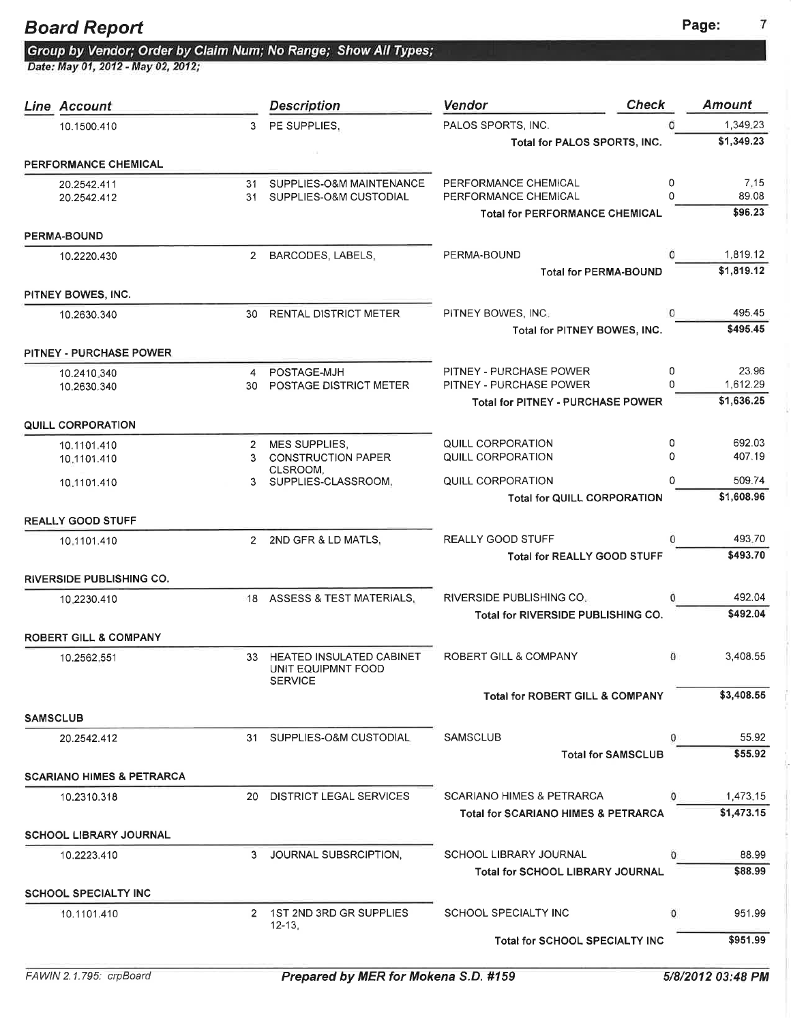7

Board Report<br>Group by Vendor; Order by Claim Num; No Range; Show All Types;<br>Date: May 01, 2012 - May 02, 2012;

| <b>Line Account</b>                  |              | <b>Description</b>                       | <b>Check</b><br><b>Vendor</b>                  |         | <b>Amount</b>    |
|--------------------------------------|--------------|------------------------------------------|------------------------------------------------|---------|------------------|
| 10.1500.410                          | 3            | PE SUPPLIES.                             | PALOS SPORTS, INC.                             |         | 1,349.23         |
|                                      |              |                                          | Total for PALOS SPORTS, INC.                   |         | \$1,349.23       |
| PERFORMANCE CHEMICAL                 |              |                                          |                                                |         |                  |
| 20.2542.411                          | 31           | SUPPLIES-O&M MAINTENANCE                 | PERFORMANCE CHEMICAL                           | 0       | 7.15             |
| 20.2542.412                          | 31           | SUPPLIES-O&M CUSTODIAL                   | PERFORMANCE CHEMICAL                           | 0       | 89.08            |
|                                      |              |                                          | <b>Total for PERFORMANCE CHEMICAL</b>          |         | \$96.23          |
| <b>PERMA-BOUND</b>                   |              |                                          |                                                |         |                  |
| 10.2220.430                          |              | 2 BARCODES, LABELS,                      | PERMA-BOUND                                    |         | 1,819.12         |
|                                      |              |                                          | <b>Total for PERMA-BOUND</b>                   |         | \$1,819.12       |
| PITNEY BOWES, INC.                   |              |                                          |                                                |         |                  |
| 10.2630.340                          |              | 30 RENTAL DISTRICT METER                 | PITNEY BOWES, INC.                             | O       | 495.45           |
|                                      |              |                                          | Total for PITNEY BOWES, INC.                   |         | \$495.45         |
| <b>PITNEY - PURCHASE POWER</b>       |              |                                          |                                                |         |                  |
| 10.2410.340                          | 4            | POSTAGE-MJH                              | PITNEY - PURCHASE POWER                        | 0       | 23.96            |
| 10.2630.340                          | 30           | <b>POSTAGE DISTRICT METER</b>            | PITNEY - PURCHASE POWER                        | 0       | 1.612.29         |
|                                      |              |                                          | <b>Total for PITNEY - PURCHASE POWER</b>       |         | \$1,636.25       |
| <b>QUILL CORPORATION</b>             |              |                                          |                                                |         |                  |
| 10.1101.410                          | $\mathbf{2}$ | <b>MES SUPPLIES,</b>                     | QUILL CORPORATION                              | 0       | 692.03           |
| 10.1101.410                          | 3            | <b>CONSTRUCTION PAPER</b><br>CLSROOM,    | QUILL CORPORATION                              | 0       | 407.19           |
| 10:1101.410                          |              | 3 SUPPLIES-CLASSROOM,                    | QUILL CORPORATION                              | 0       | 509.74           |
|                                      |              |                                          | <b>Total for QUILL CORPORATION</b>             |         | \$1,608.96       |
| <b>REALLY GOOD STUFF</b>             |              |                                          |                                                |         |                  |
| 10.1101.410                          |              | 2 2ND GFR & LD MATLS,                    | <b>REALLY GOOD STUFF</b>                       | 0       | 493.70           |
|                                      |              |                                          | <b>Total for REALLY GOOD STUFF</b>             |         | \$493.70         |
| <b>RIVERSIDE PUBLISHING CO.</b>      |              |                                          |                                                |         |                  |
| 10.2230.410                          |              | 18 ASSESS & TEST MATERIALS,              | RIVERSIDE PUBLISHING CO.                       | 0       | 492.04           |
|                                      |              |                                          | <b>Total for RIVERSIDE PUBLISHING CO.</b>      |         | \$492.04         |
| <b>ROBERT GILL &amp; COMPANY</b>     |              |                                          |                                                |         |                  |
| 10.2562.551                          | 33           | <b>HEATED INSULATED CABINET</b>          | ROBERT GILL & COMPANY                          | $\circ$ | 3,408.55         |
|                                      |              | UNIT EQUIPMNT FOOD                       |                                                |         |                  |
|                                      |              | <b>SERVICE</b>                           | <b>Total for ROBERT GILL &amp; COMPANY</b>     |         | \$3,408.55       |
| <b>SAMSCLUB</b>                      |              |                                          |                                                |         |                  |
| 20.2542.412                          | 31           | SUPPLIES-O&M CUSTODIAL                   | <b>SAMSCLUB</b>                                | 0       | 55.92            |
|                                      |              |                                          | <b>Total for SAMSCLUB</b>                      |         | \$55.92          |
| <b>SCARIANO HIMES &amp; PETRARCA</b> |              |                                          |                                                |         |                  |
| 10.2310.318                          | 20           | <b>DISTRICT LEGAL SERVICES</b>           | <b>SCARIANO HIMES &amp; PETRARCA</b>           | 0       | 1,473.15         |
|                                      |              |                                          | <b>Total for SCARIANO HIMES &amp; PETRARCA</b> |         | \$1,473.15       |
| SCHOOL LIBRARY JOURNAL               |              |                                          |                                                |         |                  |
|                                      |              |                                          | <b>SCHOOL LIBRARY JOURNAL</b>                  | 0       |                  |
| 10.2223.410                          | 3            | JOURNAL SUBSRCIPTION,                    | <b>Total for SCHOOL LIBRARY JOURNAL</b>        |         | 88.99<br>\$88.99 |
|                                      |              |                                          |                                                |         |                  |
| <b>SCHOOL SPECIALTY INC</b>          |              |                                          |                                                |         |                  |
| 10.1101.410                          |              | 2 1ST 2ND 3RD GR SUPPLIES<br>$12 - 13$ , | SCHOOL SPECIALTY INC                           | 0       | 951.99           |
|                                      |              |                                          | Total for SCHOOL SPECIALTY INC                 |         | \$951.99         |
|                                      |              |                                          |                                                |         |                  |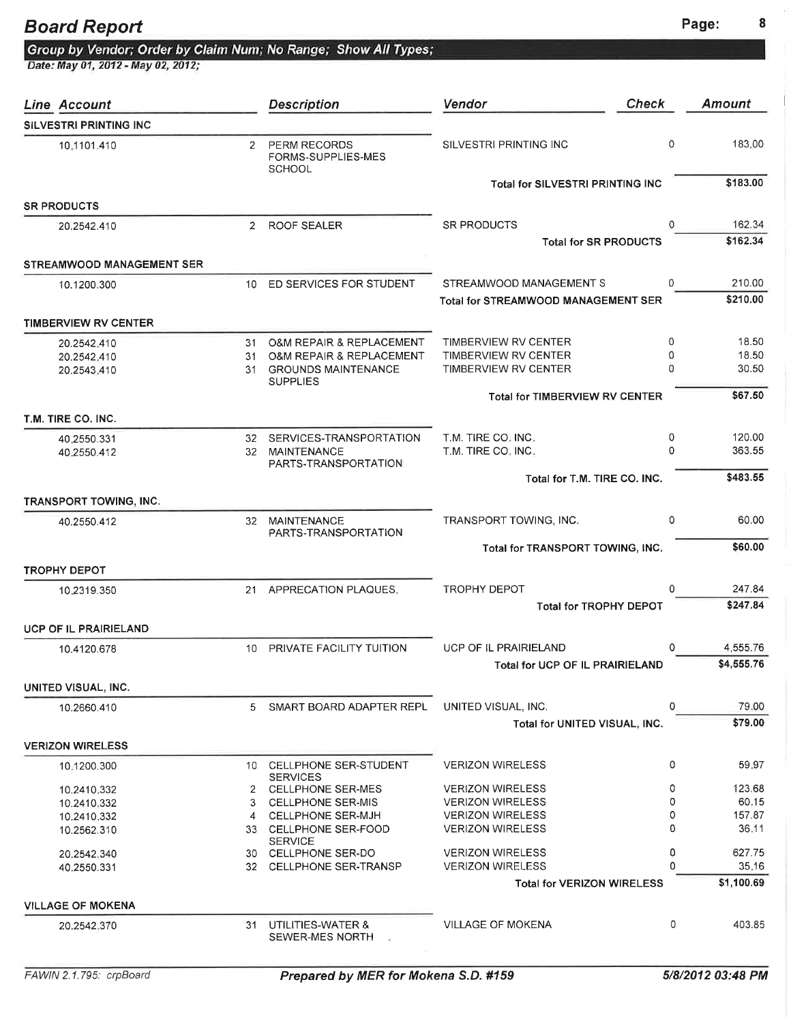# Board Report<br>Group by Vendor; Order by Claim Num; No Range; Show All Types;<br>Date: May 01, 2012 - May 02, 2012;

| Line Account                     |                | <b>Description</b>                                         | <b>Check</b><br>Vendor                                          |              | Amount             |
|----------------------------------|----------------|------------------------------------------------------------|-----------------------------------------------------------------|--------------|--------------------|
| <b>SILVESTRI PRINTING INC</b>    |                |                                                            |                                                                 |              |                    |
| 10-1101.410                      | $\mathbf{2}$   | <b>PERM RECORDS</b><br>FORMS-SUPPLIES-MES<br><b>SCHOOL</b> | SILVESTRI PRINTING INC                                          | 0            | 183.00             |
|                                  |                |                                                            | <b>Total for SILVESTRI PRINTING INC</b>                         |              | \$183.00           |
| <b>SR PRODUCTS</b>               |                |                                                            |                                                                 |              |                    |
| 20.2542.410                      | $\overline{2}$ | <b>ROOF SEALER</b>                                         | <b>SR PRODUCTS</b>                                              | 0            | 162.34             |
|                                  |                |                                                            | <b>Total for SR PRODUCTS</b>                                    |              | \$162.34           |
| <b>STREAMWOOD MANAGEMENT SER</b> |                |                                                            |                                                                 |              |                    |
| 10.1200.300                      |                | 10 ED SERVICES FOR STUDENT                                 | STREAMWOOD MANAGEMENT S                                         | 0            | 210.00<br>\$210.00 |
|                                  |                |                                                            | Total for STREAMWOOD MANAGEMENT SER                             |              |                    |
| <b>TIMBERVIEW RV CENTER</b>      |                |                                                            |                                                                 |              |                    |
| 20.2542.410                      | 31             | <b>O&amp;M REPAIR &amp; REPLACEMENT</b>                    | TIMBERVIEW RV CENTER                                            | 0            | 18.50              |
| 20.2542.410                      | 31             | O&M REPAIR & REPLACEMENT                                   | TIMBERVIEW RV CENTER                                            | 0            | 18.50              |
| 20.2543.410                      |                | 31 GROUNDS MAINTENANCE<br><b>SUPPLIES</b>                  | <b>TIMBERVIEW RV CENTER</b>                                     | 0            | 30.50              |
|                                  |                |                                                            | <b>Total for TIMBERVIEW RV CENTER</b>                           |              | \$67.50            |
| T.M. TIRE CO. INC.               |                |                                                            |                                                                 |              |                    |
| 40.2550.331                      |                | 32 SERVICES-TRANSPORTATION                                 | T.M. TIRE CO. INC.                                              | 0            | 120.00             |
| 40.2550.412                      |                | 32 MAINTENANCE                                             | T.M. TIRE CO. INC.                                              | 0            | 363.55             |
|                                  |                | PARTS-TRANSPORTATION                                       |                                                                 |              |                    |
|                                  |                |                                                            | Total for T.M. TIRE CO. INC.                                    |              | \$483.55           |
| <b>TRANSPORT TOWING, INC.</b>    |                |                                                            |                                                                 |              |                    |
| 40.2550.412                      | 32             | <b>MAINTENANCE</b>                                         | TRANSPORT TOWING, INC.                                          | 0            | 60.00              |
|                                  |                | PARTS-TRANSPORTATION                                       | Total for TRANSPORT TOWING, INC.                                |              | \$60.00            |
| <b>TROPHY DEPOT</b>              |                |                                                            |                                                                 |              |                    |
|                                  |                |                                                            | <b>TROPHY DEPOT</b>                                             | 0            | 247.84             |
| 10.2319.350                      | 21             | APPRECATION PLAQUES,                                       | <b>Total for TROPHY DEPOT</b>                                   |              | \$247.84           |
| <b>UCP OF IL PRAIRIELAND</b>     |                |                                                            |                                                                 |              |                    |
|                                  |                |                                                            |                                                                 | 0            | 4,555.76           |
| 10.4120.678                      | 10             | PRIVATE FACILITY TUITION                                   | <b>UCP OF IL PRAIRIELAND</b><br>Total for UCP OF IL PRAIRIELAND |              | \$4,555.76         |
|                                  |                |                                                            |                                                                 |              |                    |
| UNITED VISUAL, INC.              |                |                                                            |                                                                 |              |                    |
| 10.2660.410                      | 5.             | SMART BOARD ADAPTER REPL                                   | UNITED VISUAL, INC.                                             | 0            | 79.00              |
|                                  |                |                                                            | Total for UNITED VISUAL, INC.                                   |              | \$79.00            |
| <b>VERIZON WIRELESS</b>          |                |                                                            |                                                                 |              |                    |
| 10.1200.300                      |                | 10 CELLPHONE SER-STUDENT<br><b>SERVICES</b>                | <b>VERIZON WIRELESS</b>                                         | 0            | 59.97              |
| 10.2410.332                      |                | 2 CELLPHONE SER-MES                                        | <b>VERIZON WIRELESS</b>                                         | 0            | 123.68             |
| 10.2410,332                      | 3              | <b>CELLPHONE SER-MIS</b>                                   | <b>VERIZON WIRELESS</b>                                         | 0            | 60.15              |
| 10.2410.332                      | 4              | <b>CELLPHONE SER-MJH</b>                                   | <b>VERIZON WIRELESS</b>                                         | 0            | 157.87             |
| 10.2562.310                      |                | 33 CELLPHONE SER-FOOD<br><b>SERVICE</b>                    | <b>VERIZON WIRELESS</b>                                         | <sup>0</sup> | 36.11              |
| 20.2542.340                      |                | 30 CELLPHONE SER-DO                                        | <b>VERIZON WIRELESS</b>                                         | 0            | 627.75             |
| 40.2550.331                      | 32             | <b>CELLPHONE SER-TRANSP</b>                                | <b>VERIZON WIRELESS</b>                                         | $\Omega$     | 35.16              |
|                                  |                |                                                            | <b>Total for VERIZON WIRELESS</b>                               |              | \$1,100.69         |
| <b>VILLAGE OF MOKENA</b>         |                |                                                            |                                                                 |              |                    |
| 20.2542.370                      | 31             | UTILITIES-WATER &<br>SEWER-MES NORTH                       | <b>VILLAGE OF MOKENA</b>                                        | 0            | 403.85             |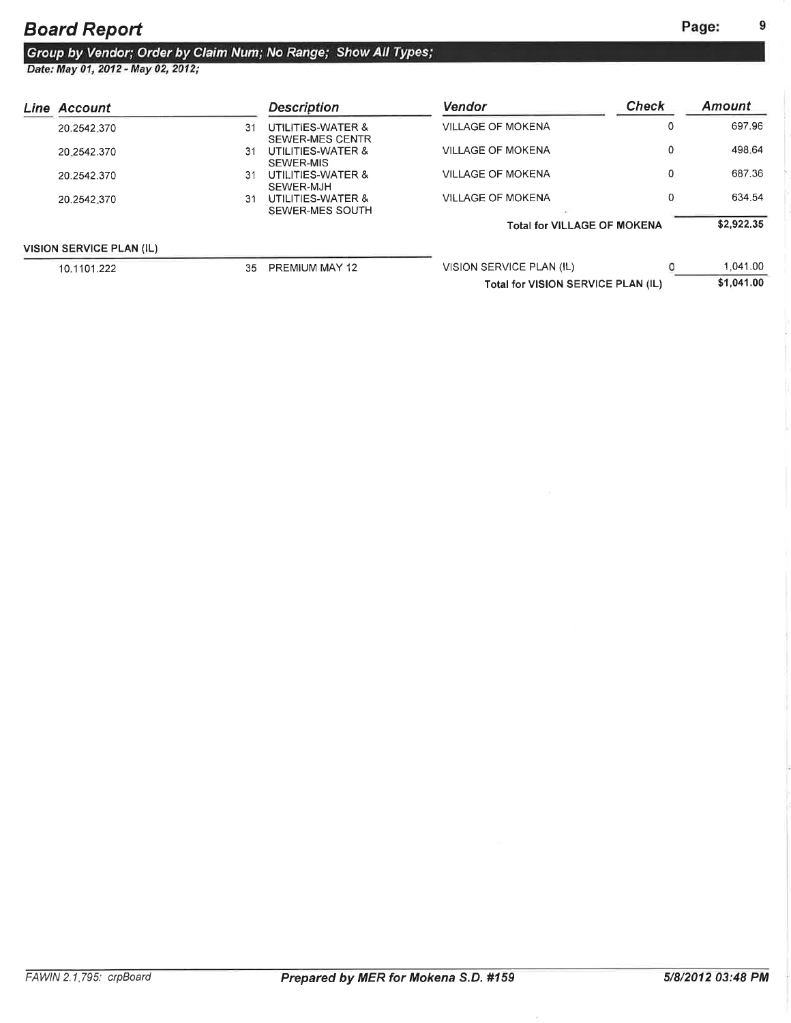9

## Board Report

## Group by Vendor; Order by Claim Num; No Range; Show All Types;<br>Date: May 01, 2012 - May 02, 2012;

| Line Account                    |    | <b>Description</b>                   | <b>Vendor</b>                      | <b>Check</b> | <b>Amount</b> |
|---------------------------------|----|--------------------------------------|------------------------------------|--------------|---------------|
| 20.2542.370                     | 31 | UTILITIES-WATER &<br>SEWER-MES CENTR | VILLAGE OF MOKENA                  |              | 697.96        |
| 20.2542.370                     | 31 | UTILITIES-WATER &<br>SEWER-MIS       | <b>VILLAGE OF MOKENA</b>           | $\Omega$     | 498.64        |
| 20.2542.370                     | 31 | UTILITIES-WATER &<br>SEWER-MJH       | VILLAGE OF MOKENA                  | C            | 687.36        |
| 20.2542.370                     | 31 | UTILITIES-WATER &<br>SEWER-MES SOUTH | VILLAGE OF MOKENA                  |              | 634.54        |
|                                 |    |                                      | <b>Total for VILLAGE OF MOKENA</b> |              | \$2,922.35    |
| <b>VISION SERVICE PLAN (IL)</b> |    |                                      |                                    |              |               |
| 10.1101.222                     | 35 | PREMIUM MAY 12                       | VISION SERVICE PLAN (IL)           |              | 1,041.00      |
|                                 |    |                                      | Total for VISION SERVICE PLAN (IL) |              | \$1.041.00    |